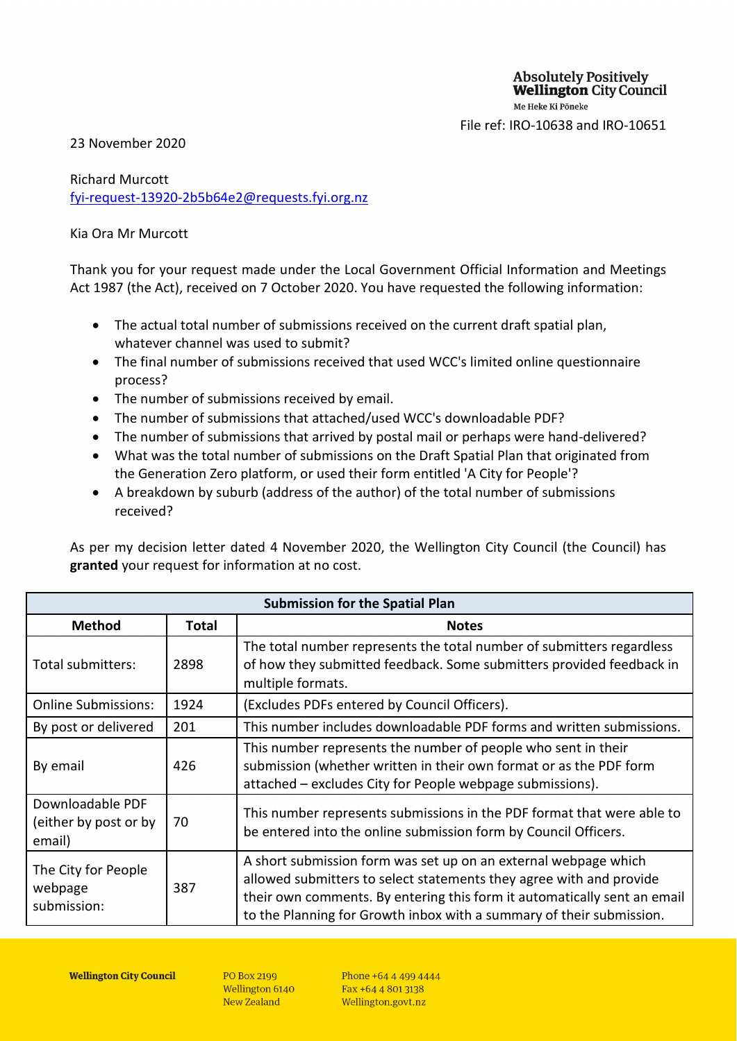File ref: IRO-10638 and IRO-10651

### 23 November 2020

# Richard Murcott [fyi-request-13920-2b5b64e2@requests.fyi.org.nz](mailto:xxxxxxxxxxxxxxxxxxxxxxxxxx@xxxxxxxx.xxx.xxx.xx)

### Kia Ora Mr Murcott

Thank you for your request made under the Local Government Official Information and Meetings Act 1987 (the Act), received on 7 October 2020. You have requested the following information:

- The actual total number of submissions received on the current draft spatial plan, whatever channel was used to submit?
- The final number of submissions received that used WCC's limited online questionnaire process?
- The number of submissions received by email.
- The number of submissions that attached/used WCC's downloadable PDF?
- The number of submissions that arrived by postal mail or perhaps were hand-delivered?
- What was the total number of submissions on the Draft Spatial Plan that originated from the Generation Zero platform, or used their form entitled 'A City for People'?
- A breakdown by suburb (address of the author) of the total number of submissions received?

As per my decision letter dated 4 November 2020, the Wellington City Council (the Council) has **granted** your request for information at no cost.

| <b>Submission for the Spatial Plan</b>              |       |                                                                                                                                                                                                                                                                                            |  |  |  |  |  |
|-----------------------------------------------------|-------|--------------------------------------------------------------------------------------------------------------------------------------------------------------------------------------------------------------------------------------------------------------------------------------------|--|--|--|--|--|
| <b>Method</b>                                       | Total | <b>Notes</b>                                                                                                                                                                                                                                                                               |  |  |  |  |  |
| Total submitters:                                   | 2898  | The total number represents the total number of submitters regardless<br>of how they submitted feedback. Some submitters provided feedback in<br>multiple formats.                                                                                                                         |  |  |  |  |  |
| <b>Online Submissions:</b>                          | 1924  | (Excludes PDFs entered by Council Officers).                                                                                                                                                                                                                                               |  |  |  |  |  |
| By post or delivered                                | 201   | This number includes downloadable PDF forms and written submissions.                                                                                                                                                                                                                       |  |  |  |  |  |
| By email                                            | 426   | This number represents the number of people who sent in their<br>submission (whether written in their own format or as the PDF form<br>attached – excludes City for People webpage submissions).                                                                                           |  |  |  |  |  |
| Downloadable PDF<br>(either by post or by<br>email) | 70    | This number represents submissions in the PDF format that were able to<br>be entered into the online submission form by Council Officers.                                                                                                                                                  |  |  |  |  |  |
| The City for People<br>webpage<br>submission:       | 387   | A short submission form was set up on an external webpage which<br>allowed submitters to select statements they agree with and provide<br>their own comments. By entering this form it automatically sent an email<br>to the Planning for Growth inbox with a summary of their submission. |  |  |  |  |  |

**PO Box 2199** Wellington 6140 New Zealand

Phone +64 4 499 4444 Fax +64 4 801 3138 Wellington.govt.nz